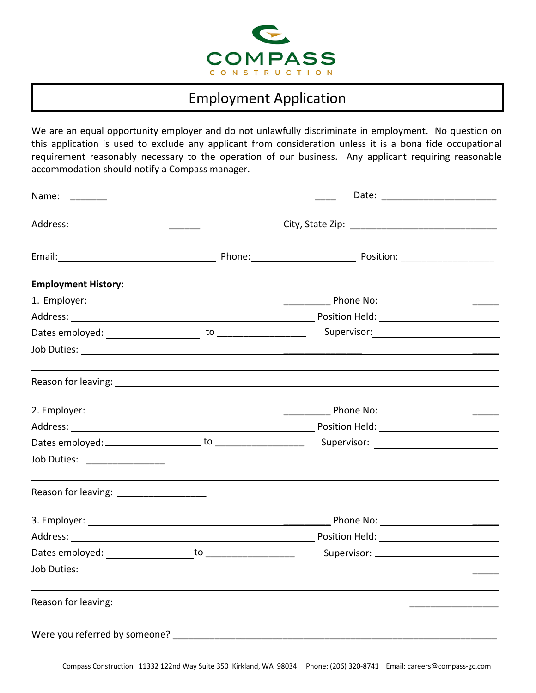

## Employment Application

We are an equal opportunity employer and do not unlawfully discriminate in employment. No question on this application is used to exclude any applicant from consideration unless it is a bona fide occupational requirement reasonably necessary to the operation of our business. Any applicant requiring reasonable accommodation should notify a Compass manager.

| <b>Employment History:</b> |                                                                                                                                                                                                                                |                                                  |  |
|----------------------------|--------------------------------------------------------------------------------------------------------------------------------------------------------------------------------------------------------------------------------|--------------------------------------------------|--|
|                            |                                                                                                                                                                                                                                |                                                  |  |
|                            |                                                                                                                                                                                                                                |                                                  |  |
|                            |                                                                                                                                                                                                                                |                                                  |  |
|                            |                                                                                                                                                                                                                                |                                                  |  |
|                            | Reason for leaving: 1999 Contract Contract Contract Contract Contract Contract Contract Contract Contract Contract Contract Contract Contract Contract Contract Contract Contract Contract Contract Contract Contract Contract |                                                  |  |
|                            |                                                                                                                                                                                                                                |                                                  |  |
|                            |                                                                                                                                                                                                                                |                                                  |  |
|                            |                                                                                                                                                                                                                                |                                                  |  |
|                            |                                                                                                                                                                                                                                |                                                  |  |
|                            |                                                                                                                                                                                                                                |                                                  |  |
|                            |                                                                                                                                                                                                                                |                                                  |  |
|                            |                                                                                                                                                                                                                                |                                                  |  |
|                            |                                                                                                                                                                                                                                | Supervisor: National Property of the Supervisor: |  |
|                            |                                                                                                                                                                                                                                |                                                  |  |
|                            | Reason for leaving: The contract of the contract of the contract of the contract of the contract of the contract of the contract of the contract of the contract of the contract of the contract of the contract of the contra |                                                  |  |
|                            | Were you referred by someone? Were also as a series of the series of the series of the series of the series of                                                                                                                 |                                                  |  |